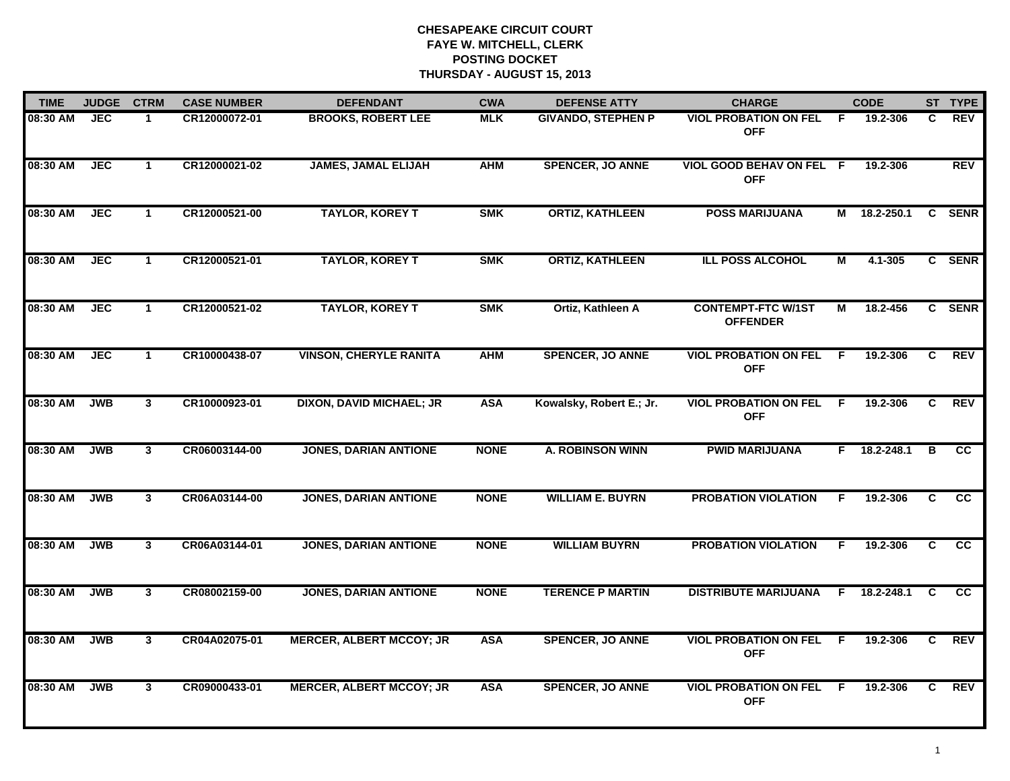| <b>TIME</b> | <b>JUDGE</b> | <b>CTRM</b>    | <b>CASE NUMBER</b> | <b>DEFENDANT</b>                | <b>CWA</b>  | <b>DEFENSE ATTY</b>       | <b>CHARGE</b>                                |    | <b>CODE</b>  |    | ST TYPE                |
|-------------|--------------|----------------|--------------------|---------------------------------|-------------|---------------------------|----------------------------------------------|----|--------------|----|------------------------|
| 08:30 AM    | <b>JEC</b>   |                | CR12000072-01      | <b>BROOKS, ROBERT LEE</b>       | <b>MLK</b>  | <b>GIVANDO, STEPHEN P</b> | <b>VIOL PROBATION ON FEL</b><br><b>OFF</b>   | -F | 19.2-306     | C. | REV                    |
| 08:30 AM    | <b>JEC</b>   | $\mathbf 1$    | CR12000021-02      | <b>JAMES, JAMAL ELIJAH</b>      | <b>AHM</b>  | <b>SPENCER, JO ANNE</b>   | VIOL GOOD BEHAV ON FEL F<br><b>OFF</b>       |    | 19.2-306     |    | <b>REV</b>             |
| 08:30 AM    | <b>JEC</b>   | $\mathbf{1}$   | CR12000521-00      | <b>TAYLOR, KOREY T</b>          | <b>SMK</b>  | <b>ORTIZ, KATHLEEN</b>    | <b>POSS MARIJUANA</b>                        |    | M 18.2-250.1 |    | C SENR                 |
| 08:30 AM    | <b>JEC</b>   | $\mathbf{1}$   | CR12000521-01      | <b>TAYLOR, KOREY T</b>          | <b>SMK</b>  | <b>ORTIZ, KATHLEEN</b>    | <b>ILL POSS ALCOHOL</b>                      | М  | 4.1-305      |    | C SENR                 |
| 08:30 AM    | <b>JEC</b>   | $\mathbf 1$    | CR12000521-02      | <b>TAYLOR, KOREY T</b>          | <b>SMK</b>  | Ortiz, Kathleen A         | <b>CONTEMPT-FTC W/1ST</b><br><b>OFFENDER</b> | М  | 18.2-456     |    | C SENR                 |
| 08:30 AM    | <b>JEC</b>   | $\mathbf{1}$   | CR10000438-07      | <b>VINSON, CHERYLE RANITA</b>   | <b>AHM</b>  | <b>SPENCER, JO ANNE</b>   | <b>VIOL PROBATION ON FEL</b><br><b>OFF</b>   | -F | 19.2-306     | C  | <b>REV</b>             |
| 08:30 AM    | <b>JWB</b>   | 3 <sup>1</sup> | CR10000923-01      | <b>DIXON, DAVID MICHAEL; JR</b> | <b>ASA</b>  | Kowalsky, Robert E.; Jr.  | <b>VIOL PROBATION ON FEL</b><br><b>OFF</b>   | E  | 19.2-306     | C  | <b>REV</b>             |
| 08:30 AM    | <b>JWB</b>   | $\mathbf{3}$   | CR06003144-00      | <b>JONES, DARIAN ANTIONE</b>    | <b>NONE</b> | <b>A. ROBINSON WINN</b>   | <b>PWID MARIJUANA</b>                        | F. | 18.2-248.1   | в  | <b>CC</b>              |
| 08:30 AM    | <b>JWB</b>   | 3              | CR06A03144-00      | <b>JONES, DARIAN ANTIONE</b>    | <b>NONE</b> | <b>WILLIAM E. BUYRN</b>   | <b>PROBATION VIOLATION</b>                   | F. | 19.2-306     | C  | $\overline{\text{cc}}$ |
| 08:30 AM    | <b>JWB</b>   | 3              | CR06A03144-01      | <b>JONES, DARIAN ANTIONE</b>    | <b>NONE</b> | <b>WILLIAM BUYRN</b>      | <b>PROBATION VIOLATION</b>                   | F. | 19.2-306     | C. | cc                     |
| 08:30 AM    | <b>JWB</b>   | 3              | CR08002159-00      | <b>JONES, DARIAN ANTIONE</b>    | <b>NONE</b> | <b>TERENCE P MARTIN</b>   | <b>DISTRIBUTE MARIJUANA</b>                  | F  | 18.2-248.1   | C  | $\overline{cc}$        |
| 08:30 AM    | <b>JWB</b>   | $\mathbf{3}$   | CR04A02075-01      | <b>MERCER, ALBERT MCCOY; JR</b> | <b>ASA</b>  | <b>SPENCER, JO ANNE</b>   | <b>VIOL PROBATION ON FEL</b><br><b>OFF</b>   | F. | 19.2-306     | C  | <b>REV</b>             |
| 08:30 AM    | <b>JWB</b>   | $\mathbf{3}$   | CR09000433-01      | <b>MERCER, ALBERT MCCOY; JR</b> | <b>ASA</b>  | <b>SPENCER, JO ANNE</b>   | <b>VIOL PROBATION ON FEL</b><br><b>OFF</b>   | -F | 19.2-306     | C  | <b>REV</b>             |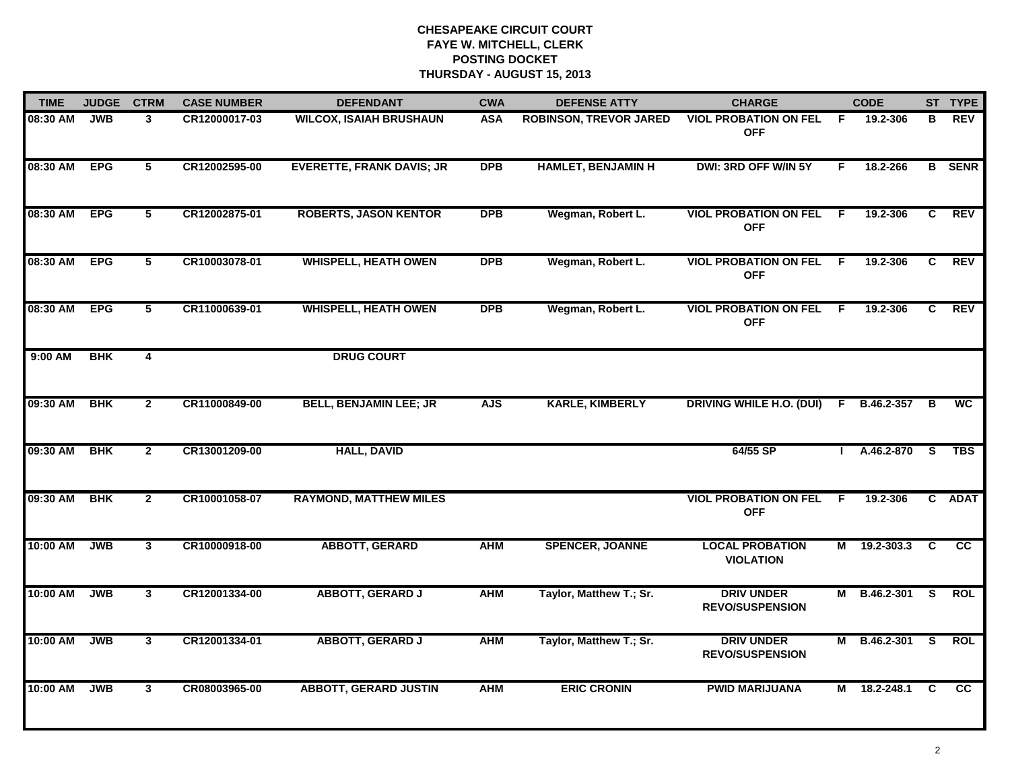| <b>TIME</b>  | <b>JUDGE</b> | <b>CTRM</b>             | <b>CASE NUMBER</b> | <b>DEFENDANT</b>                 | <b>CWA</b> | <b>DEFENSE ATTY</b>           | <b>CHARGE</b>                               |     | <b>CODE</b>    |          | ST TYPE         |
|--------------|--------------|-------------------------|--------------------|----------------------------------|------------|-------------------------------|---------------------------------------------|-----|----------------|----------|-----------------|
| 08:30 AM     | <b>JWB</b>   | 3                       | CR12000017-03      | <b>WILCOX, ISAIAH BRUSHAUN</b>   | <b>ASA</b> | <b>ROBINSON, TREVOR JARED</b> | <b>VIOL PROBATION ON FEL</b><br><b>OFF</b>  | - F | 19.2-306       | в        | <b>REV</b>      |
| 08:30 AM EPG |              | 5                       | CR12002595-00      | <b>EVERETTE, FRANK DAVIS; JR</b> | <b>DPB</b> | <b>HAMLET, BENJAMIN H</b>     | DWI: 3RD OFF W/IN 5Y                        | F.  | 18.2-266       |          | <b>B</b> SENR   |
| 08:30 AM     | <b>EPG</b>   | 5 <sup>5</sup>          | CR12002875-01      | <b>ROBERTS, JASON KENTOR</b>     | <b>DPB</b> | Wegman, Robert L.             | <b>VIOL PROBATION ON FEL</b><br><b>OFF</b>  | - F | 19.2-306       | C        | <b>REV</b>      |
| 08:30 AM     | <b>EPG</b>   | 5                       | CR10003078-01      | <b>WHISPELL, HEATH OWEN</b>      | <b>DPB</b> | Wegman, Robert L.             | <b>VIOL PROBATION ON FEL</b><br><b>OFF</b>  | - F | 19.2-306       | C        | <b>REV</b>      |
| 08:30 AM     | <b>EPG</b>   | 5                       | CR11000639-01      | <b>WHISPELL, HEATH OWEN</b>      | <b>DPB</b> | Wegman, Robert L.             | <b>VIOL PROBATION ON FEL</b><br><b>OFF</b>  | F.  | 19.2-306       | C        | <b>REV</b>      |
| 9:00 AM      | <b>BHK</b>   | $\overline{\mathbf{4}}$ |                    | <b>DRUG COURT</b>                |            |                               |                                             |     |                |          |                 |
| 09:30 AM     | <b>BHK</b>   | $\mathbf{2}$            | CR11000849-00      | <b>BELL, BENJAMIN LEE; JR</b>    | <b>AJS</b> | <b>KARLE, KIMBERLY</b>        | <b>DRIVING WHILE H.O. (DUI)</b>             |     | F B.46.2-357 B |          | $\overline{wc}$ |
| 09:30 AM     | <b>BHK</b>   | $\mathbf{2}$            | CR13001209-00      | <b>HALL, DAVID</b>               |            |                               | 64/55 SP                                    |     | A.46.2-870     | <b>S</b> | <b>TBS</b>      |
| 09:30 AM     | <b>BHK</b>   | $\mathbf{2}$            | CR10001058-07      | <b>RAYMOND, MATTHEW MILES</b>    |            |                               | <b>VIOL PROBATION ON FEL</b><br><b>OFF</b>  | F.  | 19.2-306       |          | C ADAT          |
| 10:00 AM     | <b>JWB</b>   | $\mathbf{3}$            | CR10000918-00      | <b>ABBOTT, GERARD</b>            | <b>AHM</b> | <b>SPENCER, JOANNE</b>        | <b>LOCAL PROBATION</b><br><b>VIOLATION</b>  |     | M 19.2-303.3   | C        | <b>CC</b>       |
| 10:00 AM     | <b>JWB</b>   | 3                       | CR12001334-00      | <b>ABBOTT, GERARD J</b>          | <b>AHM</b> | Taylor, Matthew T.; Sr.       | <b>DRIV UNDER</b><br><b>REVO/SUSPENSION</b> |     | M B.46.2-301   | <b>S</b> | <b>ROL</b>      |
| 10:00 AM     | <b>JWB</b>   | 3 <sup>1</sup>          | CR12001334-01      | <b>ABBOTT, GERARD J</b>          | <b>AHM</b> | Taylor, Matthew T.; Sr.       | <b>DRIV UNDER</b><br><b>REVO/SUSPENSION</b> |     | M B.46.2-301 S |          | <b>ROL</b>      |
| 10:00 AM     | <b>JWB</b>   | 3 <sup>1</sup>          | CR08003965-00      | <b>ABBOTT, GERARD JUSTIN</b>     | <b>AHM</b> | <b>ERIC CRONIN</b>            | <b>PWID MARIJUANA</b>                       | M   | 18.2-248.1     | C        | <b>CC</b>       |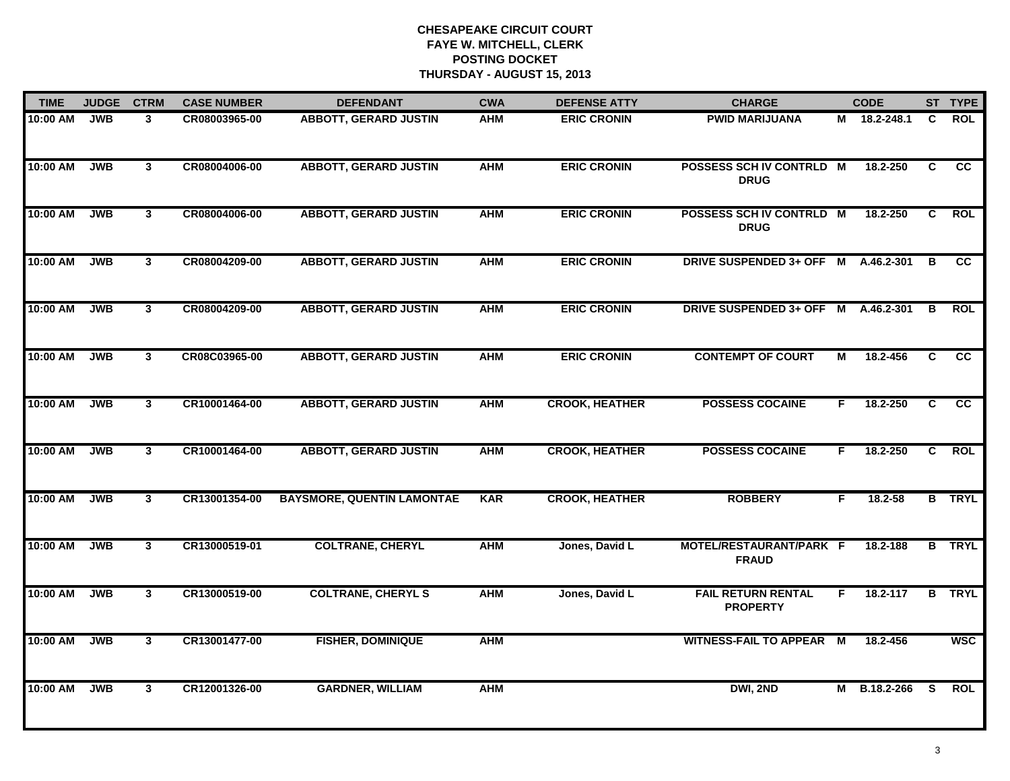| <b>TIME</b><br><b>JUDGE</b><br><b>CTRM</b> |            |                | <b>CASE NUMBER</b> | <b>DEFENDANT</b>                  | <b>CWA</b> | <b>DEFENSE ATTY</b>   | <b>CHARGE</b>                                |    | <b>CODE</b>  |          | ST TYPE         |
|--------------------------------------------|------------|----------------|--------------------|-----------------------------------|------------|-----------------------|----------------------------------------------|----|--------------|----------|-----------------|
| 10:00 AM                                   | <b>JWB</b> | 3              | CR08003965-00      | <b>ABBOTT, GERARD JUSTIN</b>      | AHM        | <b>ERIC CRONIN</b>    | <b>PWID MARIJUANA</b>                        |    | M 18.2-248.1 | C        | <b>ROL</b>      |
| 10:00 AM                                   | JWB        | $3^{\circ}$    | CR08004006-00      | <b>ABBOTT, GERARD JUSTIN</b>      | <b>AHM</b> | <b>ERIC CRONIN</b>    | POSSESS SCH IV CONTRLD M<br><b>DRUG</b>      |    | 18.2-250     | C        | $\overline{cc}$ |
| 10:00 AM                                   | <b>JWB</b> | $\mathbf{3}$   | CR08004006-00      | <b>ABBOTT, GERARD JUSTIN</b>      | <b>AHM</b> | <b>ERIC CRONIN</b>    | POSSESS SCH IV CONTRLD M<br><b>DRUG</b>      |    | 18.2-250     | C        | <b>ROL</b>      |
| 10:00 AM                                   | <b>JWB</b> | 3 <sup>1</sup> | CR08004209-00      | <b>ABBOTT, GERARD JUSTIN</b>      | <b>AHM</b> | <b>ERIC CRONIN</b>    | DRIVE SUSPENDED 3+ OFF M                     |    | A.46.2-301   | B        | <b>CC</b>       |
| 10:00 AM                                   | JWB        | 3              | CR08004209-00      | <b>ABBOTT, GERARD JUSTIN</b>      | <b>AHM</b> | <b>ERIC CRONIN</b>    | DRIVE SUSPENDED 3+ OFF M A.46.2-301          |    |              | B        | <b>ROL</b>      |
| 10:00 AM                                   | <b>JWB</b> | $\mathbf{3}$   | CR08C03965-00      | <b>ABBOTT, GERARD JUSTIN</b>      | <b>AHM</b> | <b>ERIC CRONIN</b>    | <b>CONTEMPT OF COURT</b>                     | М  | 18.2-456     | C        | $\overline{cc}$ |
| 10:00 AM                                   | <b>JWB</b> | $\mathbf{3}$   | CR10001464-00      | <b>ABBOTT, GERARD JUSTIN</b>      | <b>AHM</b> | <b>CROOK, HEATHER</b> | <b>POSSESS COCAINE</b>                       | F. | 18.2-250     | C        | $\overline{cc}$ |
| 10:00 AM                                   | <b>JWB</b> | $\mathbf{3}$   | CR10001464-00      | <b>ABBOTT, GERARD JUSTIN</b>      | <b>AHM</b> | <b>CROOK, HEATHER</b> | <b>POSSESS COCAINE</b>                       | F. | 18.2-250     | C        | <b>ROL</b>      |
| 10:00 AM                                   | <b>JWB</b> | 3              | CR13001354-00      | <b>BAYSMORE, QUENTIN LAMONTAE</b> | <b>KAR</b> | <b>CROOK, HEATHER</b> | <b>ROBBERY</b>                               | F  | 18.2-58      |          | <b>B</b> TRYL   |
| 10:00 AM                                   | <b>JWB</b> | $\mathbf{3}$   | CR13000519-01      | <b>COLTRANE, CHERYL</b>           | <b>AHM</b> | Jones, David L        | MOTEL/RESTAURANT/PARK F<br><b>FRAUD</b>      |    | 18.2-188     |          | <b>B</b> TRYL   |
| 10:00 AM                                   | <b>JWB</b> | 3 <sup>1</sup> | CR13000519-00      | <b>COLTRANE, CHERYL S</b>         | <b>AHM</b> | Jones, David L        | <b>FAIL RETURN RENTAL</b><br><b>PROPERTY</b> | F. | 18.2-117     | в        | <b>TRYL</b>     |
| 10:00 AM                                   | <b>JWB</b> | 3 <sup>1</sup> | CR13001477-00      | <b>FISHER, DOMINIQUE</b>          | <b>AHM</b> |                       | <b>WITNESS-FAIL TO APPEAR M</b>              |    | 18.2-456     |          | <b>WSC</b>      |
| 10:00 AM                                   | <b>JWB</b> | $\mathbf{3}$   | CR12001326-00      | <b>GARDNER, WILLIAM</b>           | <b>AHM</b> |                       | DWI, 2ND                                     |    | M B.18.2-266 | <b>S</b> | <b>ROL</b>      |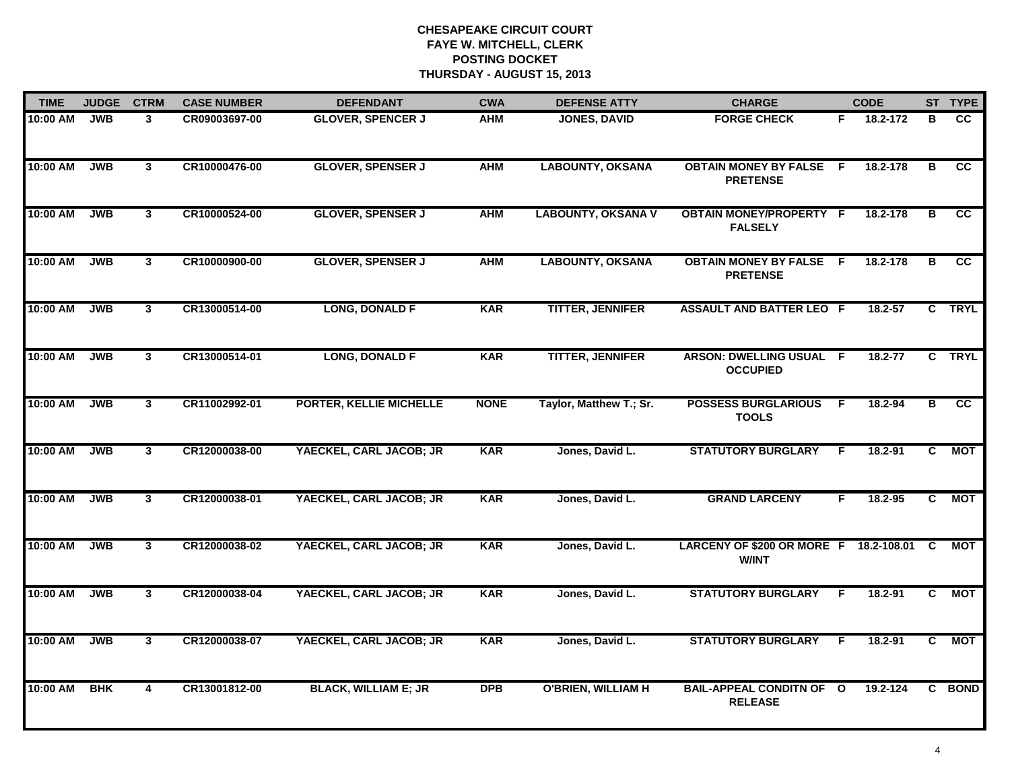| <b>TIME</b> | <b>JUDGE</b> | <b>CTRM</b>    | <b>CASE NUMBER</b> | <b>DEFENDANT</b>            | <b>CWA</b>  | <b>DEFENSE ATTY</b>       | <b>CHARGE</b>                                          |                | <b>CODE</b> |                         | ST TYPE                |
|-------------|--------------|----------------|--------------------|-----------------------------|-------------|---------------------------|--------------------------------------------------------|----------------|-------------|-------------------------|------------------------|
| 10:00 AM    | <b>JWB</b>   | 3              | CR09003697-00      | <b>GLOVER, SPENCER J</b>    | <b>AHM</b>  | <b>JONES, DAVID</b>       | <b>FORGE CHECK</b>                                     | F.             | 18.2-172    | в                       | <b>CC</b>              |
| 10:00 AM    | JWB          | $\mathbf{3}$   | CR10000476-00      | <b>GLOVER, SPENSER J</b>    | <b>AHM</b>  | <b>LABOUNTY, OKSANA</b>   | <b>OBTAIN MONEY BY FALSE F</b><br><b>PRETENSE</b>      |                | 18.2-178    | в                       | $\overline{\text{cc}}$ |
| 10:00 AM    | <b>JWB</b>   | $\mathbf{3}$   | CR10000524-00      | <b>GLOVER, SPENSER J</b>    | <b>AHM</b>  | <b>LABOUNTY, OKSANA V</b> | <b>OBTAIN MONEY/PROPERTY F</b><br><b>FALSELY</b>       |                | 18.2-178    | в                       | cc                     |
| 10:00 AM    | <b>JWB</b>   | 3              | CR10000900-00      | <b>GLOVER, SPENSER J</b>    | <b>AHM</b>  | <b>LABOUNTY, OKSANA</b>   | <b>OBTAIN MONEY BY FALSE F</b><br><b>PRETENSE</b>      |                | 18.2-178    | в                       | <b>CC</b>              |
| 10:00 AM    | <b>JWB</b>   | $\mathbf{3}$   | CR13000514-00      | <b>LONG, DONALD F</b>       | <b>KAR</b>  | <b>TITTER, JENNIFER</b>   | <b>ASSAULT AND BATTER LEO F</b>                        |                | $18.2 - 57$ |                         | C TRYL                 |
| 10:00 AM    | <b>JWB</b>   | $\mathbf{3}$   | CR13000514-01      | <b>LONG, DONALD F</b>       | <b>KAR</b>  | <b>TITTER, JENNIFER</b>   | ARSON: DWELLING USUAL F<br><b>OCCUPIED</b>             |                | 18.2-77     |                         | C TRYL                 |
| 10:00 AM    | <b>JWB</b>   | $\overline{3}$ | CR11002992-01      | PORTER, KELLIE MICHELLE     | <b>NONE</b> | Taylor, Matthew T.; Sr.   | <b>POSSESS BURGLARIOUS</b><br><b>TOOLS</b>             | $\overline{F}$ | 18.2-94     | $\overline{\mathbf{B}}$ | cc                     |
| 10:00 AM    | <b>JWB</b>   | 3              | CR12000038-00      | YAECKEL, CARL JACOB; JR     | <b>KAR</b>  | Jones, David L.           | <b>STATUTORY BURGLARY</b>                              | F              | 18.2-91     | C.                      | МОТ                    |
| 10:00 AM    | <b>JWB</b>   | 3              | CR12000038-01      | YAECKEL, CARL JACOB; JR     | <b>KAR</b>  | Jones, David L.           | <b>GRAND LARCENY</b>                                   | F              | 18.2-95     | C                       | MOT                    |
| 10:00 AM    | <b>JWB</b>   | $\mathbf{3}$   | CR12000038-02      | YAECKEL, CARL JACOB; JR     | <b>KAR</b>  | Jones, David L.           | LARCENY OF \$200 OR MORE F 18.2-108.01<br><b>W/INT</b> |                |             | <b>C</b>                | <b>MOT</b>             |
| 10:00 AM    | <b>JWB</b>   | $\mathbf{3}$   | CR12000038-04      | YAECKEL, CARL JACOB; JR     | <b>KAR</b>  | Jones, David L.           | <b>STATUTORY BURGLARY</b>                              | F.             | 18.2-91     | C                       | <b>MOT</b>             |
| 10:00 AM    | <b>JWB</b>   | 3 <sup>1</sup> | CR12000038-07      | YAECKEL, CARL JACOB; JR     | <b>KAR</b>  | Jones, David L.           | <b>STATUTORY BURGLARY</b>                              | E              | 18.2-91     | $\overline{c}$          | <b>MOT</b>             |
| 10:00 AM    | <b>BHK</b>   | 4              | CR13001812-00      | <b>BLACK, WILLIAM E; JR</b> | <b>DPB</b>  | <b>O'BRIEN, WILLIAM H</b> | <b>BAIL-APPEAL CONDITN OF O</b><br><b>RELEASE</b>      |                | 19.2-124    |                         | C BOND                 |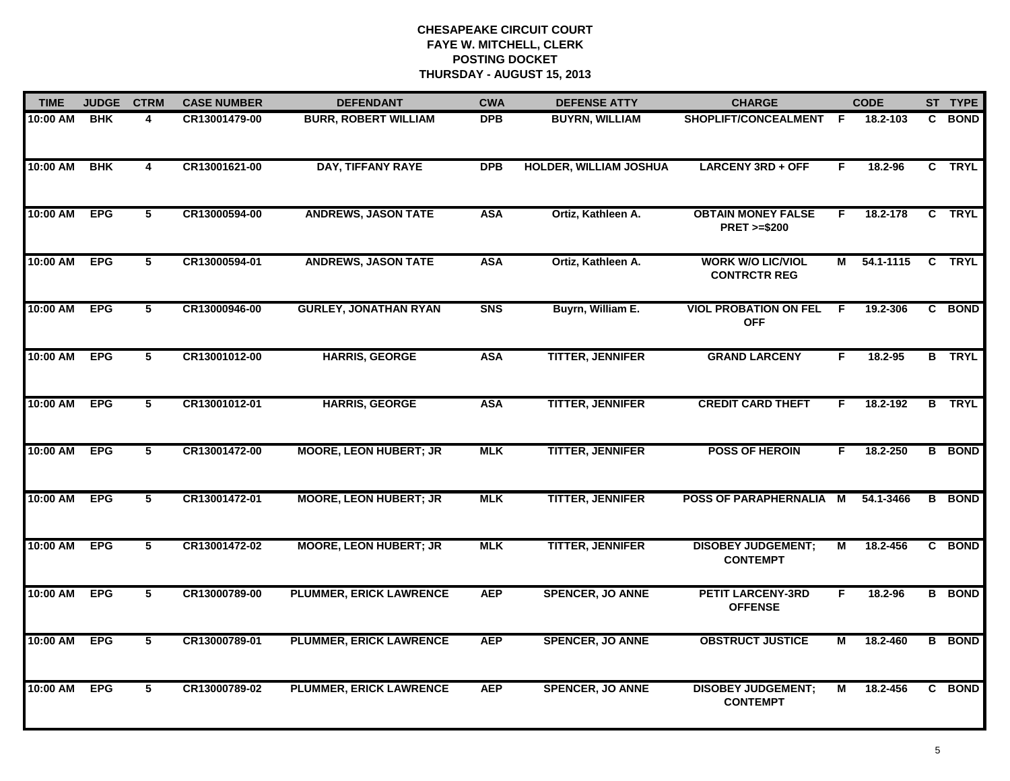| <b>TIME</b> | <b>JUDGE</b> | <b>CTRM</b>             | <b>CASE NUMBER</b> | <b>DEFENDANT</b>               | <b>CWA</b> | <b>DEFENSE ATTY</b>           | <b>CHARGE</b>                                       | <b>CODE</b> |           | ST TYPE       |
|-------------|--------------|-------------------------|--------------------|--------------------------------|------------|-------------------------------|-----------------------------------------------------|-------------|-----------|---------------|
| 10:00 AM    | <b>BHK</b>   | 4                       | CR13001479-00      | <b>BURR, ROBERT WILLIAM</b>    | <b>DPB</b> | <b>BUYRN, WILLIAM</b>         | SHOPLIFT/CONCEALMENT F                              |             | 18.2-103  | C BOND        |
| 10:00 AM    | <b>BHK</b>   | 4                       | CR13001621-00      | <b>DAY, TIFFANY RAYE</b>       | DPB        | <b>HOLDER, WILLIAM JOSHUA</b> | <b>LARCENY 3RD + OFF</b>                            | F           | 18.2-96   | C TRYL        |
| 10:00 AM    | <b>EPG</b>   | 5                       | CR13000594-00      | <b>ANDREWS, JASON TATE</b>     | <b>ASA</b> | Ortiz, Kathleen A.            | <b>OBTAIN MONEY FALSE</b><br><b>PRET &gt;=\$200</b> | F.          | 18.2-178  | C TRYL        |
| 10:00 AM    | <b>EPG</b>   | 5                       | CR13000594-01      | <b>ANDREWS, JASON TATE</b>     | <b>ASA</b> | Ortiz, Kathleen A.            | <b>WORK W/O LIC/VIOL</b><br><b>CONTRCTR REG</b>     | М           | 54.1-1115 | C TRYL        |
| 10:00 AM    | <b>EPG</b>   | 5                       | CR13000946-00      | <b>GURLEY, JONATHAN RYAN</b>   | <b>SNS</b> | Buyrn, William E.             | <b>VIOL PROBATION ON FEL</b><br><b>OFF</b>          | F           | 19.2-306  | C BOND        |
| 10:00 AM    | <b>EPG</b>   | 5                       | CR13001012-00      | <b>HARRIS, GEORGE</b>          | <b>ASA</b> | <b>TITTER, JENNIFER</b>       | <b>GRAND LARCENY</b>                                | F.          | 18.2-95   | <b>B</b> TRYL |
| 10:00 AM    | <b>EPG</b>   | $\overline{5}$          | CR13001012-01      | <b>HARRIS, GEORGE</b>          | <b>ASA</b> | <b>TITTER, JENNIFER</b>       | <b>CREDIT CARD THEFT</b>                            | F.          | 18.2-192  | <b>B</b> TRYL |
| 10:00 AM    | <b>EPG</b>   | 5                       | CR13001472-00      | <b>MOORE, LEON HUBERT; JR</b>  | <b>MLK</b> | <b>TITTER, JENNIFER</b>       | <b>POSS OF HEROIN</b>                               | F           | 18.2-250  | <b>B</b> BOND |
| 10:00 AM    | <b>EPG</b>   | 5                       | CR13001472-01      | <b>MOORE, LEON HUBERT; JR</b>  | <b>MLK</b> | <b>TITTER, JENNIFER</b>       | POSS OF PARAPHERNALIA M                             |             | 54.1-3466 | <b>B</b> BOND |
| 10:00 AM    | <b>EPG</b>   | 5                       | CR13001472-02      | <b>MOORE, LEON HUBERT; JR</b>  | <b>MLK</b> | <b>TITTER, JENNIFER</b>       | <b>DISOBEY JUDGEMENT;</b><br><b>CONTEMPT</b>        | М           | 18.2-456  | C BOND        |
| 10:00 AM    | <b>EPG</b>   | 5                       | CR13000789-00      | <b>PLUMMER, ERICK LAWRENCE</b> | <b>AEP</b> | <b>SPENCER, JO ANNE</b>       | <b>PETIT LARCENY-3RD</b><br><b>OFFENSE</b>          | F.          | 18.2-96   | <b>B</b> BOND |
| 10:00 AM    | <b>EPG</b>   | $\overline{\mathbf{5}}$ | CR13000789-01      | <b>PLUMMER, ERICK LAWRENCE</b> | <b>AEP</b> | <b>SPENCER, JO ANNE</b>       | <b>OBSTRUCT JUSTICE</b>                             | М           | 18.2-460  | <b>B</b> BOND |
| 10:00 AM    | <b>EPG</b>   | 5                       | CR13000789-02      | <b>PLUMMER, ERICK LAWRENCE</b> | <b>AEP</b> | <b>SPENCER, JO ANNE</b>       | <b>DISOBEY JUDGEMENT;</b><br><b>CONTEMPT</b>        | М           | 18.2-456  | C BOND        |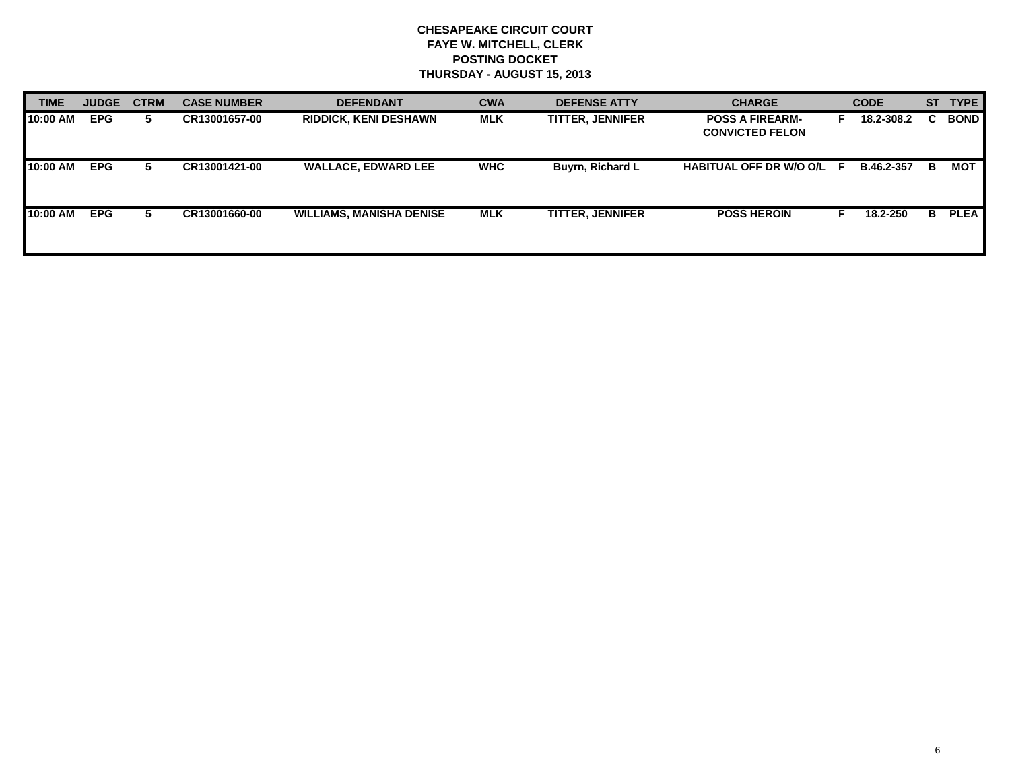| <b>TIME</b> | <b>JUDGE</b> | <b>CTRM</b> | <b>CASE NUMBER</b> | <b>DEFENDANT</b>                | <b>CWA</b> | <b>DEFENSE ATTY</b>     | <b>CHARGE</b>                                    | <b>CODE</b> |            | <b>ST</b> | <b>TYPE</b> |
|-------------|--------------|-------------|--------------------|---------------------------------|------------|-------------------------|--------------------------------------------------|-------------|------------|-----------|-------------|
| 10:00 AM    | <b>EPG</b>   | 5.          | CR13001657-00      | <b>RIDDICK, KENI DESHAWN</b>    | <b>MLK</b> | <b>TITTER, JENNIFER</b> | <b>POSS A FIREARM-</b><br><b>CONVICTED FELON</b> |             | 18.2-308.2 | C.        | <b>BOND</b> |
| 10:00 AM    | <b>EPG</b>   | 5.          | CR13001421-00      | <b>WALLACE, EDWARD LEE</b>      | <b>WHC</b> | Buyrn, Richard L        | HABITUAL OFF DR W/O O/L F                        |             | B.46.2-357 | B.        | MOT         |
| 10:00 AM    | <b>EPG</b>   | 5.          | CR13001660-00      | <b>WILLIAMS, MANISHA DENISE</b> | <b>MLK</b> | <b>TITTER, JENNIFER</b> | <b>POSS HEROIN</b>                               |             | 18.2-250   | в         | <b>PLEA</b> |